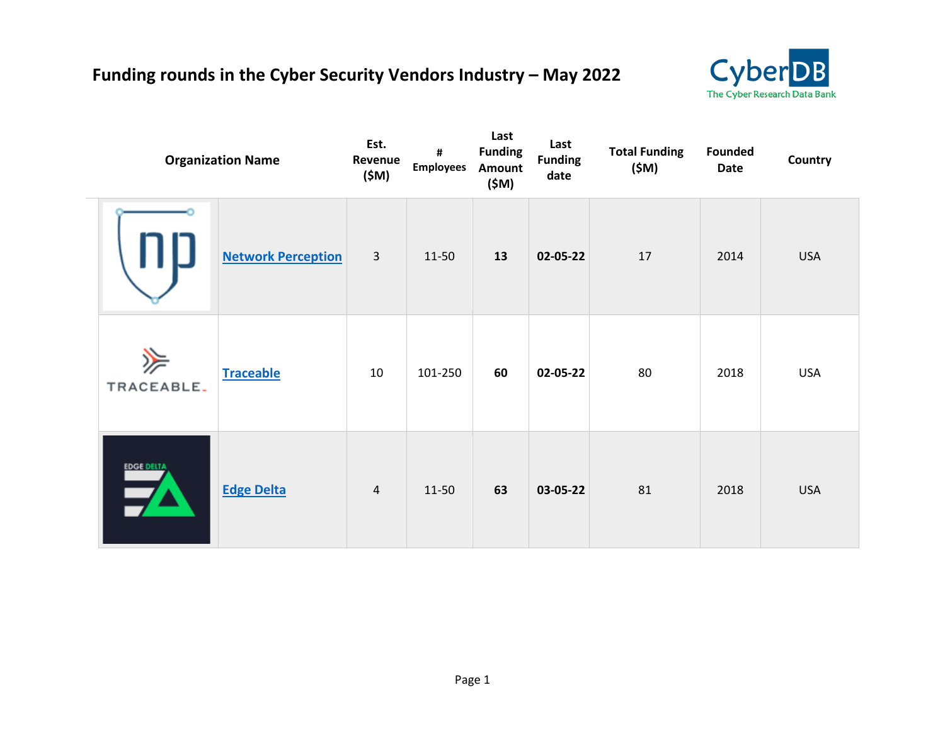## **Funding rounds in the Cyber Security Vendors Industry – May 2022**



|                 | <b>Organization Name</b>  | Est.<br>Revenue<br>(\$M) | #<br><b>Employees</b> | Last<br><b>Funding</b><br>Amount<br>(\$M) | Last<br><b>Funding</b><br>date | <b>Total Funding</b><br>(\$M) | <b>Founded</b><br><b>Date</b> | Country    |
|-----------------|---------------------------|--------------------------|-----------------------|-------------------------------------------|--------------------------------|-------------------------------|-------------------------------|------------|
|                 | <b>Network Perception</b> | $\overline{3}$           | 11-50                 | 13                                        | 02-05-22                       | 17                            | 2014                          | <b>USA</b> |
| 》<br>TRACEABLE. | <b>Traceable</b>          | 10                       | 101-250               | 60                                        | 02-05-22                       | 80                            | 2018                          | <b>USA</b> |
| EDCI DELTA      | <b>Edge Delta</b>         | 4                        | 11-50                 | 63                                        | 03-05-22                       | 81                            | 2018                          | <b>USA</b> |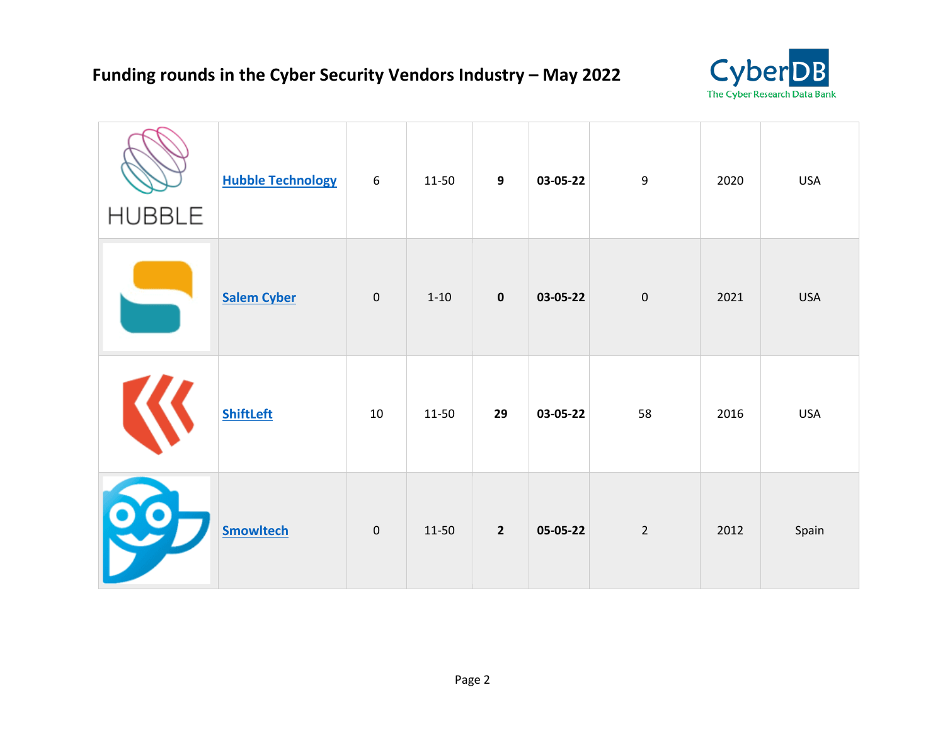

| <b>HUBBLE</b> | <b>Hubble Technology</b> | 6           | 11-50    | 9              | 03-05-22 | 9              | 2020 | <b>USA</b> |
|---------------|--------------------------|-------------|----------|----------------|----------|----------------|------|------------|
|               | <b>Salem Cyber</b>       | $\mathbf 0$ | $1 - 10$ | $\pmb{0}$      | 03-05-22 | $\pmb{0}$      | 2021 | <b>USA</b> |
|               | <b>ShiftLeft</b>         | 10          | 11-50    | 29             | 03-05-22 | 58             | 2016 | <b>USA</b> |
| 80            | <b>Smowltech</b>         | $\mathbf 0$ | 11-50    | $\overline{2}$ | 05-05-22 | $\overline{2}$ | 2012 | Spain      |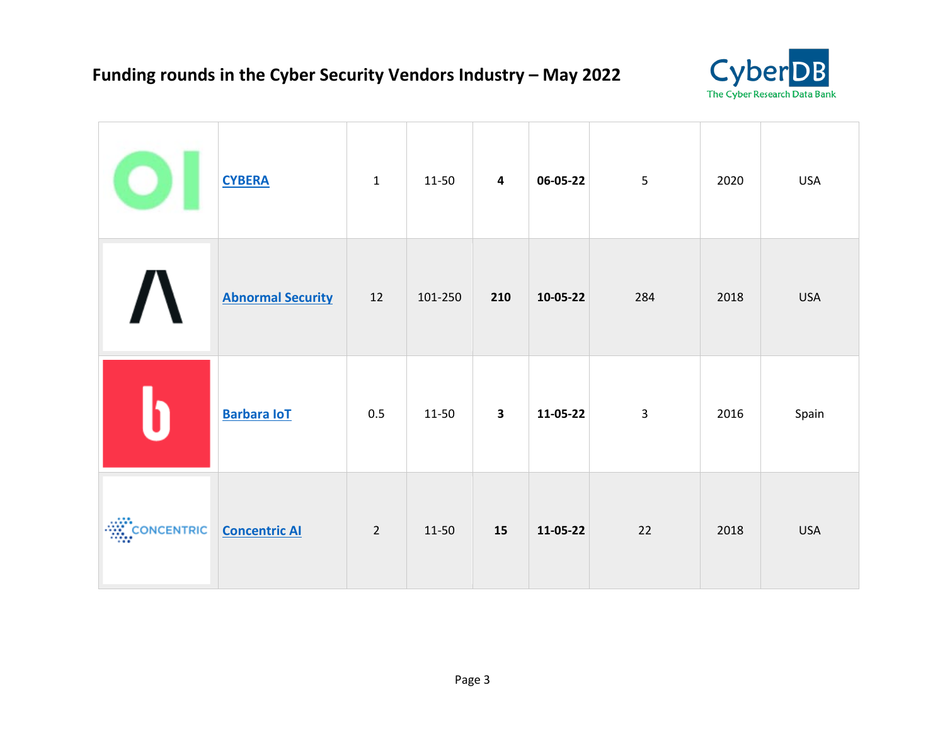

|                                           | <b>CYBERA</b>            | $\mathbf{1}$   | 11-50   | $\overline{\mathbf{4}}$ | 06-05-22 | 5              | 2020 | <b>USA</b> |
|-------------------------------------------|--------------------------|----------------|---------|-------------------------|----------|----------------|------|------------|
|                                           | <b>Abnormal Security</b> | 12             | 101-250 | 210                     | 10-05-22 | 284            | 2018 | <b>USA</b> |
|                                           | <b>Barbara IoT</b>       | 0.5            | 11-50   | $\overline{\mathbf{3}}$ | 11-05-22 | $\overline{3}$ | 2016 | Spain      |
| <b>EXAMPLE ON CONCENTRIC</b> CONCENTIC AL |                          | $\overline{2}$ | 11-50   | 15                      | 11-05-22 | 22             | 2018 | <b>USA</b> |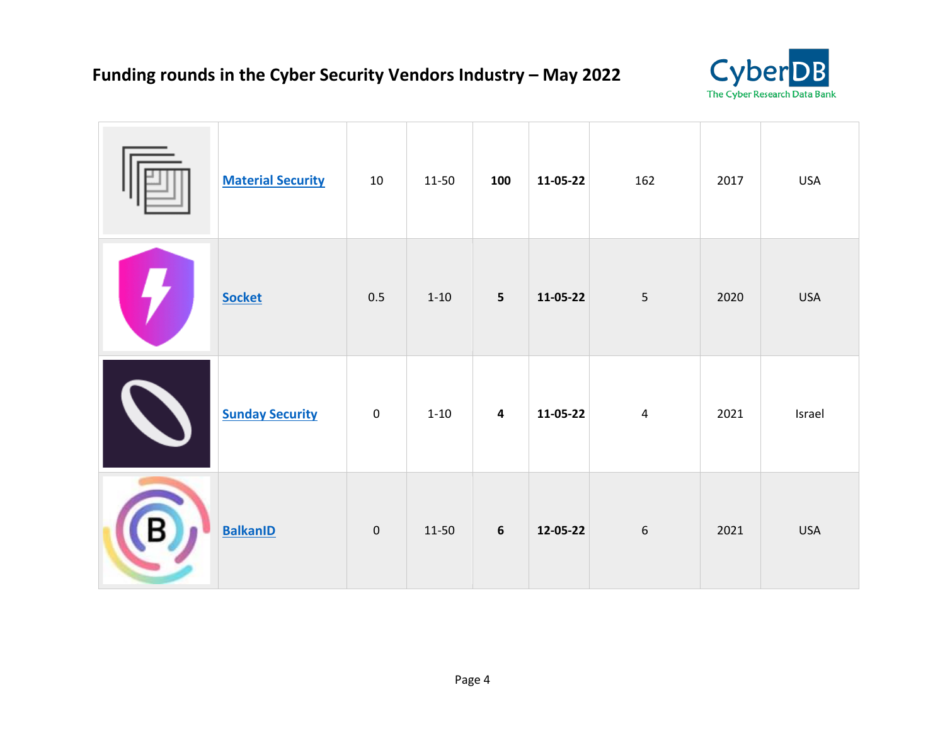

| <b>Material Security</b> | $10\,$      | 11-50    | 100                     | 11-05-22 | 162            | 2017 | <b>USA</b> |
|--------------------------|-------------|----------|-------------------------|----------|----------------|------|------------|
| <b>Socket</b>            | 0.5         | $1 - 10$ | $\overline{\mathbf{5}}$ | 11-05-22 | 5              | 2020 | <b>USA</b> |
| <b>Sunday Security</b>   | $\mathbf 0$ | $1 - 10$ | $\overline{\mathbf{4}}$ | 11-05-22 | $\overline{a}$ | 2021 | Israel     |
| <b>BalkanID</b>          | $\pmb{0}$   | 11-50    | $\boldsymbol{6}$        | 12-05-22 | $\sqrt{6}$     | 2021 | <b>USA</b> |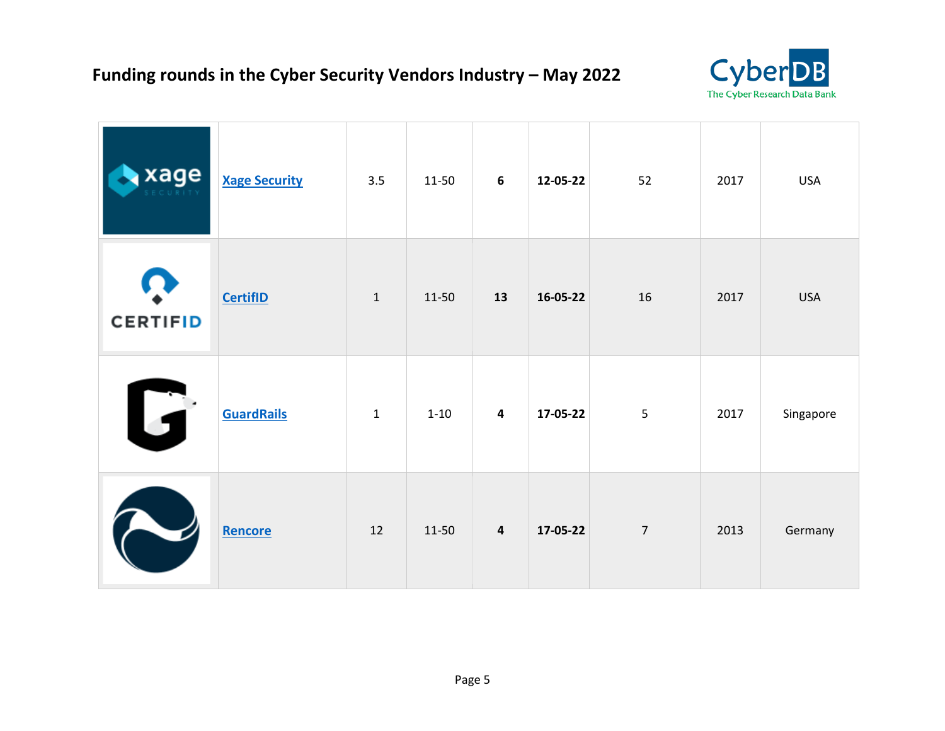

| xage            | <b>Xage Security</b> | 3.5          | 11-50    | $6\phantom{1}6$         | 12-05-22 | 52             | 2017 | <b>USA</b> |
|-----------------|----------------------|--------------|----------|-------------------------|----------|----------------|------|------------|
| <b>CERTIFID</b> | <b>CertifID</b>      | $\mathbf 1$  | 11-50    | 13                      | 16-05-22 | 16             | 2017 | <b>USA</b> |
| U               | <b>GuardRails</b>    | $\mathbf{1}$ | $1 - 10$ | $\overline{\mathbf{4}}$ | 17-05-22 | 5              | 2017 | Singapore  |
|                 | Rencore              | 12           | 11-50    | $\overline{\mathbf{4}}$ | 17-05-22 | $\overline{7}$ | 2013 | Germany    |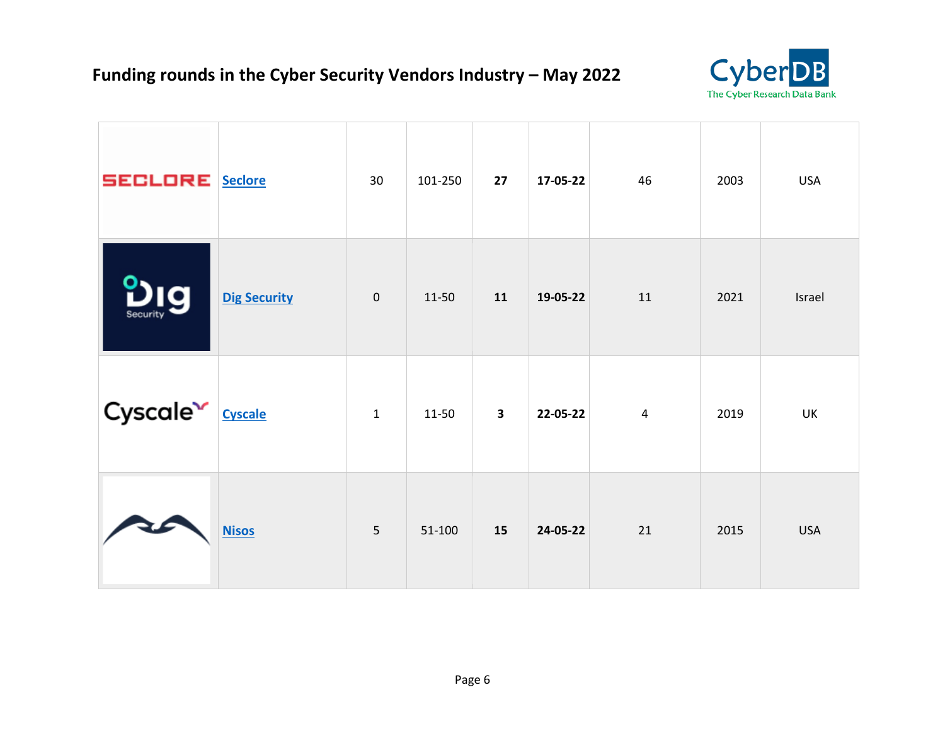

| <b>SECLORE</b> Seclore       |                     | 30             | 101-250 | 27                      | 17-05-22 | 46             | 2003 | <b>USA</b> |
|------------------------------|---------------------|----------------|---------|-------------------------|----------|----------------|------|------------|
| la<br>Security               | <b>Dig Security</b> | $\mathbf 0$    | 11-50   | 11                      | 19-05-22 | 11             | 2021 | Israel     |
| Cyscale <sup>v</sup> Cyscale |                     | $\mathbf{1}$   | 11-50   | $\overline{\mathbf{3}}$ | 22-05-22 | $\overline{4}$ | 2019 | UK         |
| Ŧ                            | <b>Nisos</b>        | $\overline{5}$ | 51-100  | 15                      | 24-05-22 | 21             | 2015 | <b>USA</b> |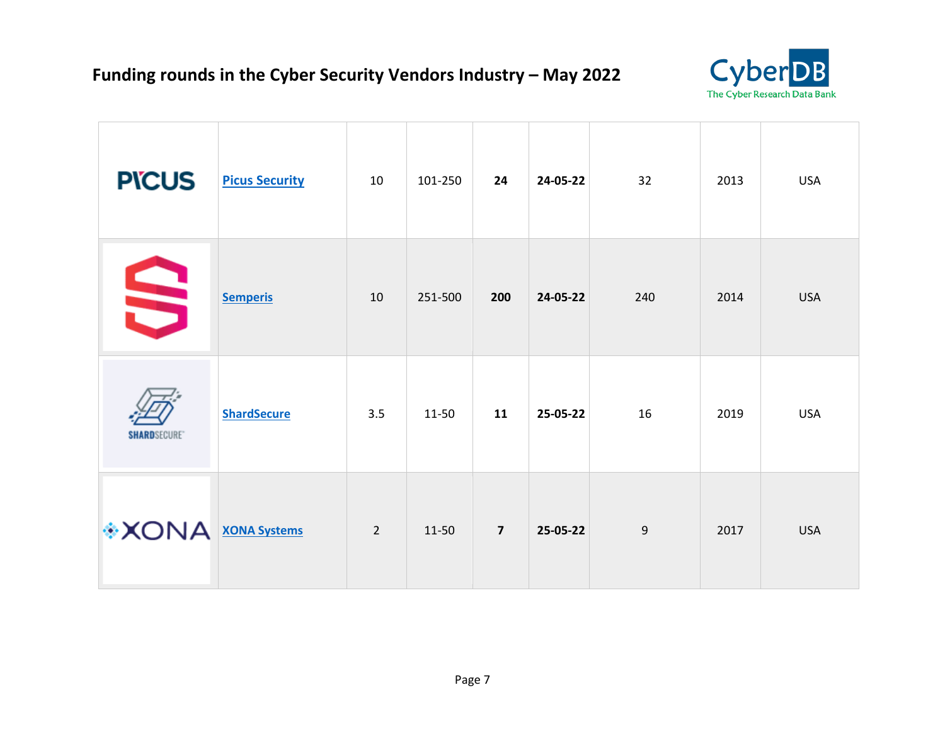

| <b>PICUS</b>             | <b>Picus Security</b> | 10             | 101-250 | 24             | 24-05-22 | 32  | 2013 | <b>USA</b> |
|--------------------------|-----------------------|----------------|---------|----------------|----------|-----|------|------------|
| S                        | <b>Semperis</b>       | 10             | 251-500 | 200            | 24-05-22 | 240 | 2014 | <b>USA</b> |
| <b>SHARD</b> SECURE®     | <b>ShardSecure</b>    | 3.5            | 11-50   | 11             | 25-05-22 | 16  | 2019 | <b>USA</b> |
| <b>XONA</b> XONA Systems |                       | $\overline{2}$ | 11-50   | $\overline{7}$ | 25-05-22 | 9   | 2017 | <b>USA</b> |